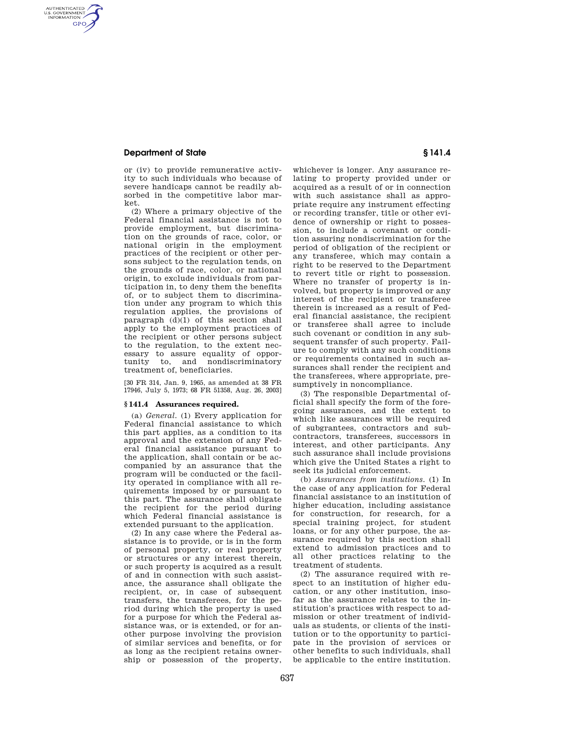## **Department of State § 141.4**

AUTHENTICATED<br>U.S. GOVERNMENT<br>INFORMATION **GPO** 

> or (iv) to provide remunerative activity to such individuals who because of severe handicaps cannot be readily absorbed in the competitive labor market.

> (2) Where a primary objective of the Federal financial assistance is not to provide employment, but discrimination on the grounds of race, color, or national origin in the employment practices of the recipient or other persons subject to the regulation tends, on the grounds of race, color, or national origin, to exclude individuals from participation in, to deny them the benefits of, or to subject them to discrimination under any program to which this regulation applies, the provisions of paragraph (d)(1) of this section shall apply to the employment practices of the recipient or other persons subject to the regulation, to the extent necessary to assure equality of oppor-<br>tunity to, and nondiscriminatory nondiscriminatory treatment of, beneficiaries.

[30 FR 314, Jan. 9, 1965, as amended at 38 FR 17946, July 5, 1973; 68 FR 51358, Aug. 26, 2003]

#### **§ 141.4 Assurances required.**

(a) *General.* (1) Every application for Federal financial assistance to which this part applies, as a condition to its approval and the extension of any Federal financial assistance pursuant to the application, shall contain or be accompanied by an assurance that the program will be conducted or the facility operated in compliance with all requirements imposed by or pursuant to this part. The assurance shall obligate the recipient for the period during which Federal financial assistance is extended pursuant to the application.

(2) In any case where the Federal assistance is to provide, or is in the form of personal property, or real property or structures or any interest therein, or such property is acquired as a result of and in connection with such assistance, the assurance shall obligate the recipient, or, in case of subsequent transfers, the transferees, for the period during which the property is used for a purpose for which the Federal assistance was, or is extended, or for another purpose involving the provision of similar services and benefits, or for as long as the recipient retains ownership or possession of the property,

whichever is longer. Any assurance relating to property provided under or acquired as a result of or in connection with such assistance shall as appropriate require any instrument effecting or recording transfer, title or other evidence of ownership or right to possession, to include a covenant or condition assuring nondiscrimination for the period of obligation of the recipient or any transferee, which may contain a right to be reserved to the Department to revert title or right to possession. Where no transfer of property is involved, but property is improved or any interest of the recipient or transferee therein is increased as a result of Federal financial assistance, the recipient or transferee shall agree to include such covenant or condition in any subsequent transfer of such property. Failure to comply with any such conditions or requirements contained in such assurances shall render the recipient and the transferees, where appropriate, presumptively in noncompliance.

(3) The responsible Departmental official shall specify the form of the foregoing assurances, and the extent to which like assurances will be required of subgrantees, contractors and subcontractors, transferees, successors in interest, and other participants. Any such assurance shall include provisions which give the United States a right to seek its judicial enforcement.

(b) *Assurances from institutions.* (1) In the case of any application for Federal financial assistance to an institution of higher education, including assistance for construction, for research, for a special training project, for student loans, or for any other purpose, the assurance required by this section shall extend to admission practices and to all other practices relating to the treatment of students.

(2) The assurance required with respect to an institution of higher education, or any other institution, insofar as the assurance relates to the institution's practices with respect to admission or other treatment of individuals as students, or clients of the institution or to the opportunity to participate in the provision of services or other benefits to such individuals, shall be applicable to the entire institution.